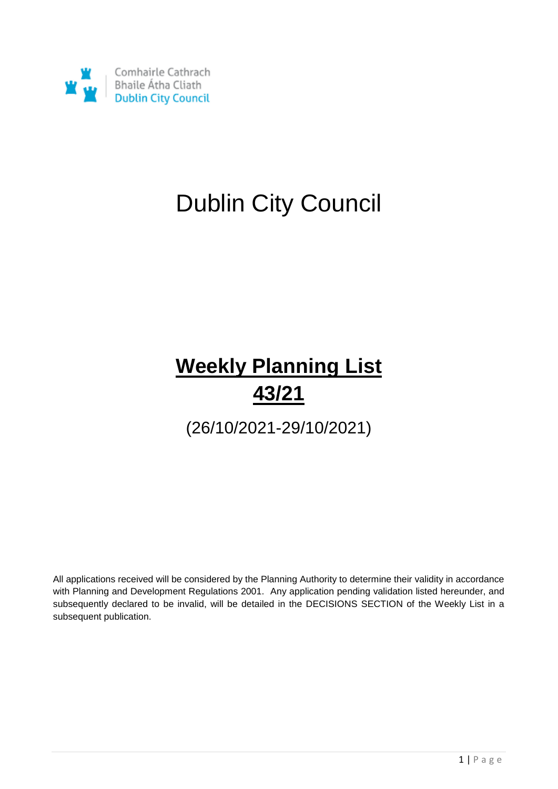

# Dublin City Council

# **Weekly Planning List 43/21**

(26/10/2021-29/10/2021)

All applications received will be considered by the Planning Authority to determine their validity in accordance with Planning and Development Regulations 2001. Any application pending validation listed hereunder, and subsequently declared to be invalid, will be detailed in the DECISIONS SECTION of the Weekly List in a subsequent publication.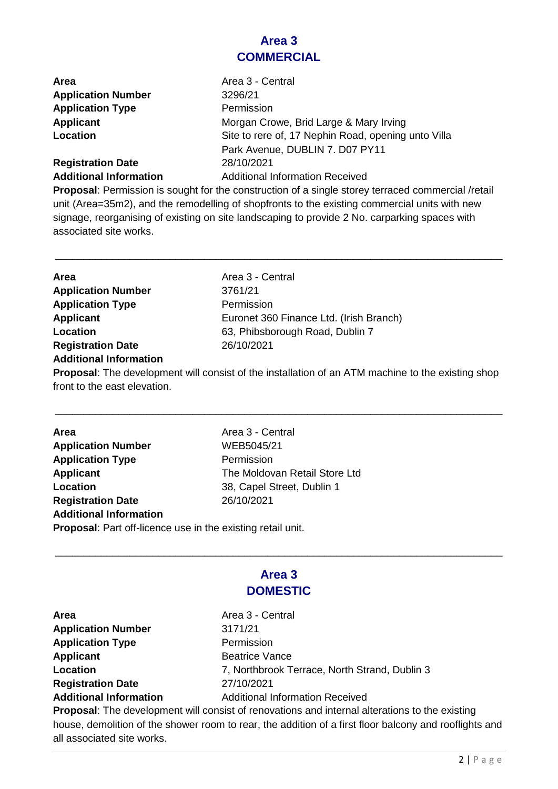### **Area 3 COMMERCIAL**

| <b>Area</b>                   | Area 3 - Central                                    |
|-------------------------------|-----------------------------------------------------|
| <b>Application Number</b>     | 3296/21                                             |
| <b>Application Type</b>       | Permission                                          |
| Applicant                     | Morgan Crowe, Brid Large & Mary Irving              |
| Location                      | Site to rere of, 17 Nephin Road, opening unto Villa |
|                               | Park Avenue, DUBLIN 7. D07 PY11                     |
| <b>Registration Date</b>      | 28/10/2021                                          |
| <b>Additional Information</b> | <b>Additional Information Received</b>              |

**Proposal**: Permission is sought for the construction of a single storey terraced commercial /retail unit (Area=35m2), and the remodelling of shopfronts to the existing commercial units with new signage, reorganising of existing on site landscaping to provide 2 No. carparking spaces with associated site works.

\_\_\_\_\_\_\_\_\_\_\_\_\_\_\_\_\_\_\_\_\_\_\_\_\_\_\_\_\_\_\_\_\_\_\_\_\_\_\_\_\_\_\_\_\_\_\_\_\_\_\_\_\_\_\_\_\_\_\_\_\_\_\_\_\_\_\_\_\_\_\_\_\_\_\_\_\_\_

| Area                      | Area 3 - Central                        |
|---------------------------|-----------------------------------------|
| <b>Application Number</b> | 3761/21                                 |
| <b>Application Type</b>   | Permission                              |
| <b>Applicant</b>          | Euronet 360 Finance Ltd. (Irish Branch) |
| Location                  | 63, Phibsborough Road, Dublin 7         |
| <b>Registration Date</b>  | 26/10/2021                              |
|                           |                                         |

#### **Additional Information**

**Proposal**: The development will consist of the installation of an ATM machine to the existing shop front to the east elevation.

\_\_\_\_\_\_\_\_\_\_\_\_\_\_\_\_\_\_\_\_\_\_\_\_\_\_\_\_\_\_\_\_\_\_\_\_\_\_\_\_\_\_\_\_\_\_\_\_\_\_\_\_\_\_\_\_\_\_\_\_\_\_\_\_\_\_\_\_\_\_\_\_\_\_\_\_\_\_

| <b>Area</b>                                                        | Area 3 - Central              |
|--------------------------------------------------------------------|-------------------------------|
| <b>Application Number</b>                                          | WEB5045/21                    |
| <b>Application Type</b>                                            | Permission                    |
| <b>Applicant</b>                                                   | The Moldovan Retail Store Ltd |
| Location                                                           | 38, Capel Street, Dublin 1    |
| <b>Registration Date</b>                                           | 26/10/2021                    |
| <b>Additional Information</b>                                      |                               |
| <b>Proposal:</b> Part off-licence use in the existing retail unit. |                               |
|                                                                    |                               |

### **Area 3 DOMESTIC**

\_\_\_\_\_\_\_\_\_\_\_\_\_\_\_\_\_\_\_\_\_\_\_\_\_\_\_\_\_\_\_\_\_\_\_\_\_\_\_\_\_\_\_\_\_\_\_\_\_\_\_\_\_\_\_\_\_\_\_\_\_\_\_\_\_\_\_\_\_\_\_\_\_\_\_\_\_\_

**Area Area** Area 3 - Central **Application Number** 3171/21 **Application Type** Permission **Applicant** Beatrice Vance **Registration Date** 27/10/2021

**Location** 7, Northbrook Terrace, North Strand, Dublin 3 **Additional Information** Additional Information Received

**Proposal**: The development will consist of renovations and internal alterations to the existing house, demolition of the shower room to rear, the addition of a first floor balcony and rooflights and all associated site works.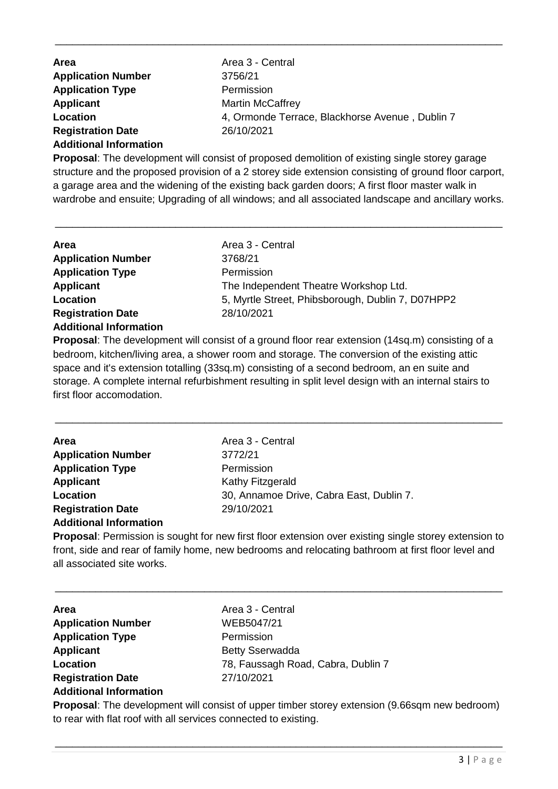| <b>Area</b>                   | Area 3 - Central                                |
|-------------------------------|-------------------------------------------------|
| <b>Application Number</b>     | 3756/21                                         |
| <b>Application Type</b>       | Permission                                      |
| Applicant                     | <b>Martin McCaffrey</b>                         |
| Location                      | 4, Ormonde Terrace, Blackhorse Avenue, Dublin 7 |
| <b>Registration Date</b>      | 26/10/2021                                      |
| <b>Additional Information</b> |                                                 |

\_\_\_\_\_\_\_\_\_\_\_\_\_\_\_\_\_\_\_\_\_\_\_\_\_\_\_\_\_\_\_\_\_\_\_\_\_\_\_\_\_\_\_\_\_\_\_\_\_\_\_\_\_\_\_\_\_\_\_\_\_\_\_\_\_\_\_\_\_\_\_\_\_\_\_\_\_\_

**Proposal**: The development will consist of proposed demolition of existing single storey garage structure and the proposed provision of a 2 storey side extension consisting of ground floor carport, a garage area and the widening of the existing back garden doors; A first floor master walk in wardrobe and ensuite; Upgrading of all windows; and all associated landscape and ancillary works.

\_\_\_\_\_\_\_\_\_\_\_\_\_\_\_\_\_\_\_\_\_\_\_\_\_\_\_\_\_\_\_\_\_\_\_\_\_\_\_\_\_\_\_\_\_\_\_\_\_\_\_\_\_\_\_\_\_\_\_\_\_\_\_\_\_\_\_\_\_\_\_\_\_\_\_\_\_\_

| Area                          | Area 3 - Central                                  |
|-------------------------------|---------------------------------------------------|
| <b>Application Number</b>     | 3768/21                                           |
| <b>Application Type</b>       | Permission                                        |
| <b>Applicant</b>              | The Independent Theatre Workshop Ltd.             |
| Location                      | 5, Myrtle Street, Phibsborough, Dublin 7, D07HPP2 |
| <b>Registration Date</b>      | 28/10/2021                                        |
| <b>Additional Information</b> |                                                   |
|                               |                                                   |

**Proposal:** The development will consist of a ground floor rear extension (14sq.m) consisting of a bedroom, kitchen/living area, a shower room and storage. The conversion of the existing attic space and it's extension totalling (33sq.m) consisting of a second bedroom, an en suite and storage. A complete internal refurbishment resulting in split level design with an internal stairs to first floor accomodation.

\_\_\_\_\_\_\_\_\_\_\_\_\_\_\_\_\_\_\_\_\_\_\_\_\_\_\_\_\_\_\_\_\_\_\_\_\_\_\_\_\_\_\_\_\_\_\_\_\_\_\_\_\_\_\_\_\_\_\_\_\_\_\_\_\_\_\_\_\_\_\_\_\_\_\_\_\_\_

| <b>Area</b>                   | Area 3 - Central                         |
|-------------------------------|------------------------------------------|
| <b>Application Number</b>     | 3772/21                                  |
| <b>Application Type</b>       | Permission                               |
| <b>Applicant</b>              | Kathy Fitzgerald                         |
| Location                      | 30, Annamoe Drive, Cabra East, Dublin 7. |
| <b>Registration Date</b>      | 29/10/2021                               |
| <b>Additional Information</b> |                                          |

**Proposal**: Permission is sought for new first floor extension over existing single storey extension to front, side and rear of family home, new bedrooms and relocating bathroom at first floor level and all associated site works.

\_\_\_\_\_\_\_\_\_\_\_\_\_\_\_\_\_\_\_\_\_\_\_\_\_\_\_\_\_\_\_\_\_\_\_\_\_\_\_\_\_\_\_\_\_\_\_\_\_\_\_\_\_\_\_\_\_\_\_\_\_\_\_\_\_\_\_\_\_\_\_\_\_\_\_\_\_\_

| <b>Area</b>                   | Area 3 - Central                   |
|-------------------------------|------------------------------------|
| <b>Application Number</b>     | WEB5047/21                         |
| <b>Application Type</b>       | Permission                         |
| Applicant                     | <b>Betty Sserwadda</b>             |
| Location                      | 78, Faussagh Road, Cabra, Dublin 7 |
| <b>Registration Date</b>      | 27/10/2021                         |
| <b>Additional Information</b> |                                    |

**Proposal**: The development will consist of upper timber storey extension (9.66sqm new bedroom) to rear with flat roof with all services connected to existing.

\_\_\_\_\_\_\_\_\_\_\_\_\_\_\_\_\_\_\_\_\_\_\_\_\_\_\_\_\_\_\_\_\_\_\_\_\_\_\_\_\_\_\_\_\_\_\_\_\_\_\_\_\_\_\_\_\_\_\_\_\_\_\_\_\_\_\_\_\_\_\_\_\_\_\_\_\_\_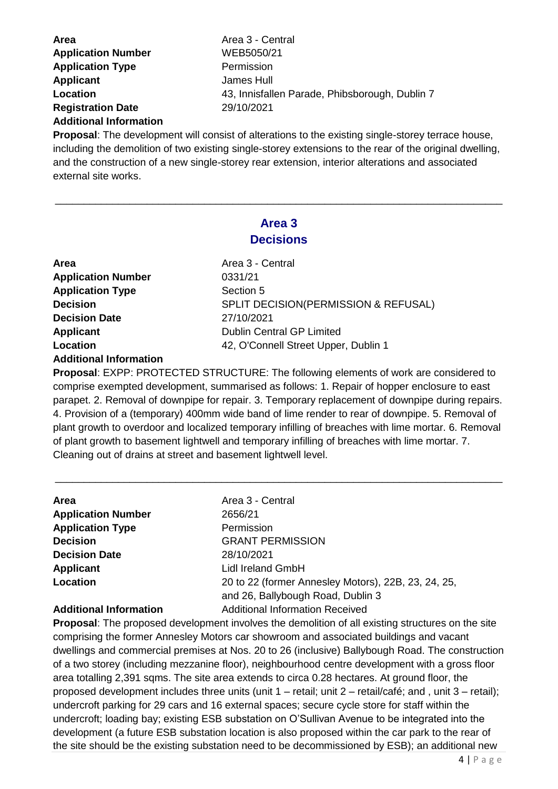| <b>Area</b>               | Area 3 - Central                               |
|---------------------------|------------------------------------------------|
| <b>Application Number</b> | WEB5050/21                                     |
| <b>Application Type</b>   | Permission                                     |
| <b>Applicant</b>          | James Hull                                     |
| Location                  | 43, Innisfallen Parade, Phibsborough, Dublin 7 |
| <b>Registration Date</b>  | 29/10/2021                                     |
|                           |                                                |

#### **Additional Information**

**Proposal**: The development will consist of alterations to the existing single-storey terrace house, including the demolition of two existing single-storey extensions to the rear of the original dwelling, and the construction of a new single-storey rear extension, interior alterations and associated external site works.

### **Area 3 Decisions**

\_\_\_\_\_\_\_\_\_\_\_\_\_\_\_\_\_\_\_\_\_\_\_\_\_\_\_\_\_\_\_\_\_\_\_\_\_\_\_\_\_\_\_\_\_\_\_\_\_\_\_\_\_\_\_\_\_\_\_\_\_\_\_\_\_\_\_\_\_\_\_\_\_\_\_\_\_\_

| Area                          |
|-------------------------------|
| <b>Application Number</b>     |
| <b>Application Type</b>       |
| <b>Decision</b>               |
| <b>Decision Date</b>          |
| <b>Applicant</b>              |
| Location                      |
| <b>Additional Information</b> |
|                               |

**Area** Area 3 - Central **Application Number** 0331/21 **Section 5 SPLIT DECISION(PERMISSION & REFUSAL) Decision Date** 27/10/2021 **Dublin Central GP Limited Location** 42, O'Connell Street Upper, Dublin 1

**Proposal**: EXPP: PROTECTED STRUCTURE: The following elements of work are considered to comprise exempted development, summarised as follows: 1. Repair of hopper enclosure to east parapet. 2. Removal of downpipe for repair. 3. Temporary replacement of downpipe during repairs. 4. Provision of a (temporary) 400mm wide band of lime render to rear of downpipe. 5. Removal of plant growth to overdoor and localized temporary infilling of breaches with lime mortar. 6. Removal of plant growth to basement lightwell and temporary infilling of breaches with lime mortar. 7. Cleaning out of drains at street and basement lightwell level.

\_\_\_\_\_\_\_\_\_\_\_\_\_\_\_\_\_\_\_\_\_\_\_\_\_\_\_\_\_\_\_\_\_\_\_\_\_\_\_\_\_\_\_\_\_\_\_\_\_\_\_\_\_\_\_\_\_\_\_\_\_\_\_\_\_\_\_\_\_\_\_\_\_\_\_\_\_\_

| Area                      | Area 3 - Central                                    |
|---------------------------|-----------------------------------------------------|
| <b>Application Number</b> | 2656/21                                             |
| <b>Application Type</b>   | Permission                                          |
| <b>Decision</b>           | <b>GRANT PERMISSION</b>                             |
| <b>Decision Date</b>      | 28/10/2021                                          |
| <b>Applicant</b>          | Lidl Ireland GmbH                                   |
| Location                  | 20 to 22 (former Annesley Motors), 22B, 23, 24, 25, |
|                           | and 26, Ballybough Road, Dublin 3                   |
|                           |                                                     |

#### **Additional Information** Additional Information Received

**Proposal**: The proposed development involves the demolition of all existing structures on the site comprising the former Annesley Motors car showroom and associated buildings and vacant dwellings and commercial premises at Nos. 20 to 26 (inclusive) Ballybough Road. The construction of a two storey (including mezzanine floor), neighbourhood centre development with a gross floor area totalling 2,391 sqms. The site area extends to circa 0.28 hectares. At ground floor, the proposed development includes three units (unit 1 – retail; unit 2 – retail/café; and , unit 3 – retail); undercroft parking for 29 cars and 16 external spaces; secure cycle store for staff within the undercroft; loading bay; existing ESB substation on O'Sullivan Avenue to be integrated into the development (a future ESB substation location is also proposed within the car park to the rear of the site should be the existing substation need to be decommissioned by ESB); an additional new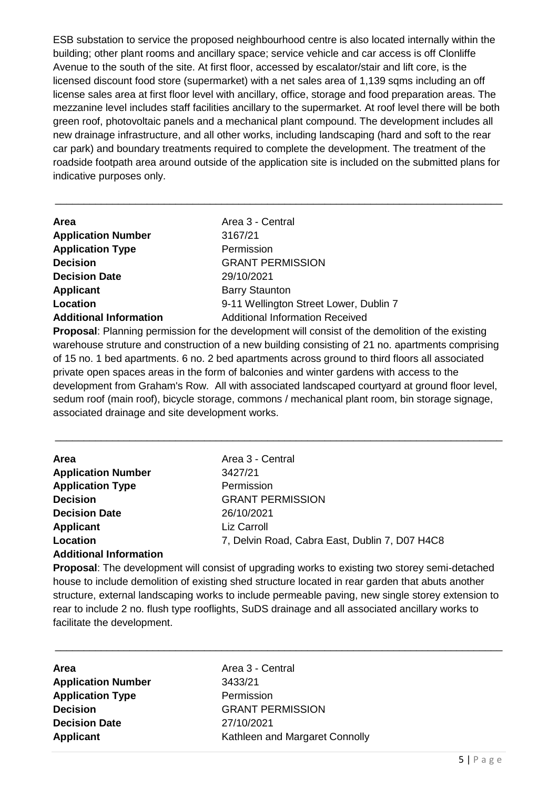ESB substation to service the proposed neighbourhood centre is also located internally within the building; other plant rooms and ancillary space; service vehicle and car access is off Clonliffe Avenue to the south of the site. At first floor, accessed by escalator/stair and lift core, is the licensed discount food store (supermarket) with a net sales area of 1,139 sqms including an off license sales area at first floor level with ancillary, office, storage and food preparation areas. The mezzanine level includes staff facilities ancillary to the supermarket. At roof level there will be both green roof, photovoltaic panels and a mechanical plant compound. The development includes all new drainage infrastructure, and all other works, including landscaping (hard and soft to the rear car park) and boundary treatments required to complete the development. The treatment of the roadside footpath area around outside of the application site is included on the submitted plans for indicative purposes only.

\_\_\_\_\_\_\_\_\_\_\_\_\_\_\_\_\_\_\_\_\_\_\_\_\_\_\_\_\_\_\_\_\_\_\_\_\_\_\_\_\_\_\_\_\_\_\_\_\_\_\_\_\_\_\_\_\_\_\_\_\_\_\_\_\_\_\_\_\_\_\_\_\_\_\_\_\_\_

| Area                          | Area 3 - Central                       |
|-------------------------------|----------------------------------------|
| <b>Application Number</b>     | 3167/21                                |
| <b>Application Type</b>       | Permission                             |
| <b>Decision</b>               | <b>GRANT PERMISSION</b>                |
| <b>Decision Date</b>          | 29/10/2021                             |
| <b>Applicant</b>              | <b>Barry Staunton</b>                  |
| Location                      | 9-11 Wellington Street Lower, Dublin 7 |
| <b>Additional Information</b> | <b>Additional Information Received</b> |

**Proposal**: Planning permission for the development will consist of the demolition of the existing warehouse struture and construction of a new building consisting of 21 no. apartments comprising of 15 no. 1 bed apartments. 6 no. 2 bed apartments across ground to third floors all associated private open spaces areas in the form of balconies and winter gardens with access to the development from Graham's Row. All with associated landscaped courtyard at ground floor level, sedum roof (main roof), bicycle storage, commons / mechanical plant room, bin storage signage, associated drainage and site development works.

\_\_\_\_\_\_\_\_\_\_\_\_\_\_\_\_\_\_\_\_\_\_\_\_\_\_\_\_\_\_\_\_\_\_\_\_\_\_\_\_\_\_\_\_\_\_\_\_\_\_\_\_\_\_\_\_\_\_\_\_\_\_\_\_\_\_\_\_\_\_\_\_\_\_\_\_\_\_

| <b>Area</b>                   | Area 3 - Central                               |
|-------------------------------|------------------------------------------------|
| <b>Application Number</b>     | 3427/21                                        |
| <b>Application Type</b>       | Permission                                     |
| <b>Decision</b>               | <b>GRANT PERMISSION</b>                        |
| <b>Decision Date</b>          | 26/10/2021                                     |
| <b>Applicant</b>              | Liz Carroll                                    |
| Location                      | 7, Delvin Road, Cabra East, Dublin 7, D07 H4C8 |
| <b>Additional Information</b> |                                                |

**Proposal**: The development will consist of upgrading works to existing two storey semi-detached house to include demolition of existing shed structure located in rear garden that abuts another structure, external landscaping works to include permeable paving, new single storey extension to rear to include 2 no. flush type rooflights, SuDS drainage and all associated ancillary works to facilitate the development.

\_\_\_\_\_\_\_\_\_\_\_\_\_\_\_\_\_\_\_\_\_\_\_\_\_\_\_\_\_\_\_\_\_\_\_\_\_\_\_\_\_\_\_\_\_\_\_\_\_\_\_\_\_\_\_\_\_\_\_\_\_\_\_\_\_\_\_\_\_\_\_\_\_\_\_\_\_\_

| Area                      |
|---------------------------|
| <b>Application Number</b> |
| <b>Application Type</b>   |
| <b>Decision</b>           |
| <b>Decision Date</b>      |
| <b>Applicant</b>          |

Area 3 - Central **Application Number** 3433/21 **Permission Decision** GRANT PERMISSION **Decision Date** 27/10/2021 **Kathleen and Margaret Connolly**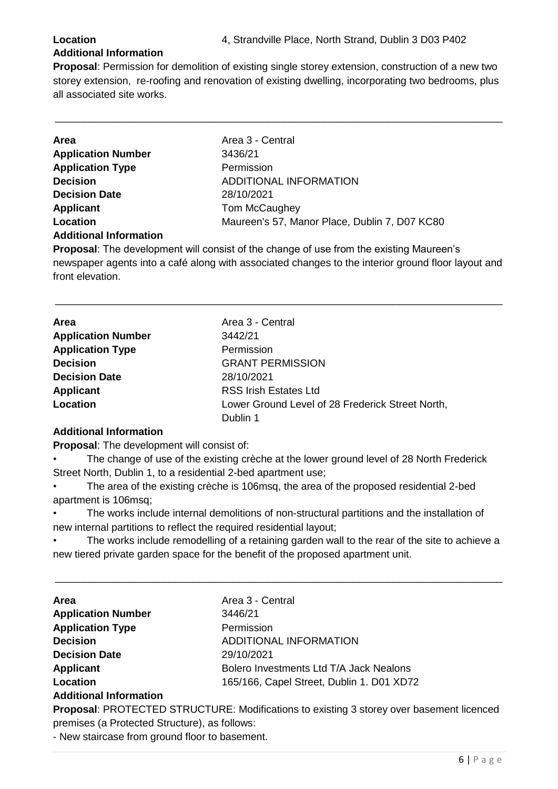#### **Additional Information**

**Proposal**: Permission for demolition of existing single storey extension, construction of a new two storey extension, re-roofing and renovation of existing dwelling, incorporating two bedrooms, plus all associated site works.

\_\_\_\_\_\_\_\_\_\_\_\_\_\_\_\_\_\_\_\_\_\_\_\_\_\_\_\_\_\_\_\_\_\_\_\_\_\_\_\_\_\_\_\_\_\_\_\_\_\_\_\_\_\_\_\_\_\_\_\_\_\_\_\_\_\_\_\_\_\_\_\_\_\_\_\_\_\_

| <b>Area</b>               | Area 3 - Central                              |
|---------------------------|-----------------------------------------------|
| <b>Application Number</b> | 3436/21                                       |
| <b>Application Type</b>   | Permission                                    |
| <b>Decision</b>           | ADDITIONAL INFORMATION                        |
| <b>Decision Date</b>      | 28/10/2021                                    |
| <b>Applicant</b>          | Tom McCaughey                                 |
| Location                  | Maureen's 57, Manor Place, Dublin 7, D07 KC80 |
| Additional Information    |                                               |

#### **Additional Information**

**Proposal**: The development will consist of the change of use from the existing Maureen's newspaper agents into a café along with associated changes to the interior ground floor layout and front elevation.

\_\_\_\_\_\_\_\_\_\_\_\_\_\_\_\_\_\_\_\_\_\_\_\_\_\_\_\_\_\_\_\_\_\_\_\_\_\_\_\_\_\_\_\_\_\_\_\_\_\_\_\_\_\_\_\_\_\_\_\_\_\_\_\_\_\_\_\_\_\_\_\_\_\_\_\_\_\_

| <b>Area</b>               | Area 3 - Central                                 |
|---------------------------|--------------------------------------------------|
| <b>Application Number</b> | 3442/21                                          |
| <b>Application Type</b>   | Permission                                       |
| <b>Decision</b>           | <b>GRANT PERMISSION</b>                          |
| <b>Decision Date</b>      | 28/10/2021                                       |
| <b>Applicant</b>          | <b>RSS Irish Estates Ltd</b>                     |
| Location                  | Lower Ground Level of 28 Frederick Street North, |
|                           | Dublin 1                                         |

#### **Additional Information**

**Proposal**: The development will consist of:

The change of use of the existing crèche at the lower ground level of 28 North Frederick Street North, Dublin 1, to a residential 2-bed apartment use;

• The area of the existing crèche is 106msq, the area of the proposed residential 2-bed apartment is 106msq;

• The works include internal demolitions of non-structural partitions and the installation of new internal partitions to reflect the required residential layout;

The works include remodelling of a retaining garden wall to the rear of the site to achieve a new tiered private garden space for the benefit of the proposed apartment unit.

\_\_\_\_\_\_\_\_\_\_\_\_\_\_\_\_\_\_\_\_\_\_\_\_\_\_\_\_\_\_\_\_\_\_\_\_\_\_\_\_\_\_\_\_\_\_\_\_\_\_\_\_\_\_\_\_\_\_\_\_\_\_\_\_\_\_\_\_\_\_\_\_\_\_\_\_\_\_

| <b>Area</b>               | Area 3 - Central                          |
|---------------------------|-------------------------------------------|
| <b>Application Number</b> | 3446/21                                   |
| <b>Application Type</b>   | Permission                                |
| <b>Decision</b>           | ADDITIONAL INFORMATION                    |
| <b>Decision Date</b>      | 29/10/2021                                |
| <b>Applicant</b>          | Bolero Investments Ltd T/A Jack Nealons   |
| Location                  | 165/166, Capel Street, Dublin 1. D01 XD72 |
|                           |                                           |

#### **Additional Information**

**Proposal**: PROTECTED STRUCTURE: Modifications to existing 3 storey over basement licenced premises (a Protected Structure), as follows:

- New staircase from ground floor to basement.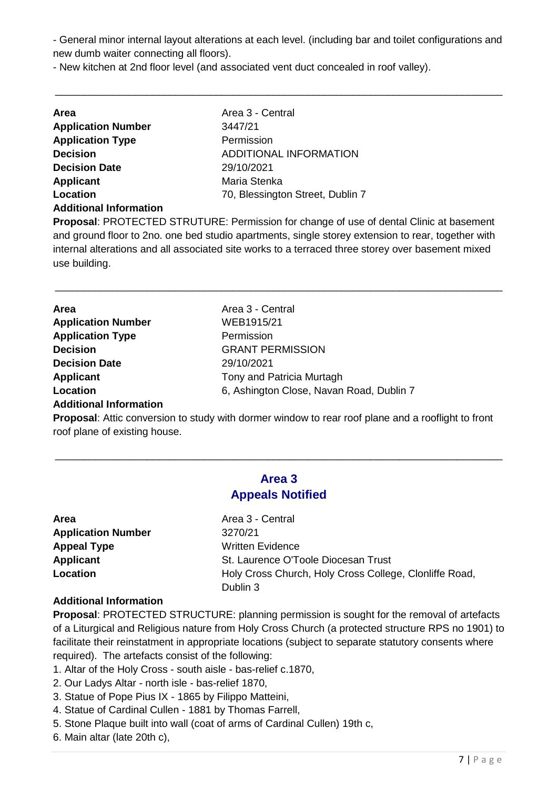- General minor internal layout alterations at each level. (including bar and toilet configurations and new dumb waiter connecting all floors).

\_\_\_\_\_\_\_\_\_\_\_\_\_\_\_\_\_\_\_\_\_\_\_\_\_\_\_\_\_\_\_\_\_\_\_\_\_\_\_\_\_\_\_\_\_\_\_\_\_\_\_\_\_\_\_\_\_\_\_\_\_\_\_\_\_\_\_\_\_\_\_\_\_\_\_\_\_\_

- New kitchen at 2nd floor level (and associated vent duct concealed in roof valley).

| <b>Area</b>                   | Area 3 - Central                 |
|-------------------------------|----------------------------------|
| <b>Application Number</b>     | 3447/21                          |
| <b>Application Type</b>       | Permission                       |
| <b>Decision</b>               | <b>ADDITIONAL INFORMATION</b>    |
| <b>Decision Date</b>          | 29/10/2021                       |
| <b>Applicant</b>              | Maria Stenka                     |
| Location                      | 70, Blessington Street, Dublin 7 |
| <b>Additional Information</b> |                                  |

**Proposal**: PROTECTED STRUTURE: Permission for change of use of dental Clinic at basement and ground floor to 2no. one bed studio apartments, single storey extension to rear, together with internal alterations and all associated site works to a terraced three storey over basement mixed use building.

\_\_\_\_\_\_\_\_\_\_\_\_\_\_\_\_\_\_\_\_\_\_\_\_\_\_\_\_\_\_\_\_\_\_\_\_\_\_\_\_\_\_\_\_\_\_\_\_\_\_\_\_\_\_\_\_\_\_\_\_\_\_\_\_\_\_\_\_\_\_\_\_\_\_\_\_\_\_

| <b>Area</b>               | Area 3 - Central                         |
|---------------------------|------------------------------------------|
| <b>Application Number</b> | WEB1915/21                               |
| <b>Application Type</b>   | Permission                               |
| <b>Decision</b>           | <b>GRANT PERMISSION</b>                  |
| <b>Decision Date</b>      | 29/10/2021                               |
| <b>Applicant</b>          | Tony and Patricia Murtagh                |
| Location                  | 6, Ashington Close, Navan Road, Dublin 7 |
|                           |                                          |

### **Additional Information**

**Proposal**: Attic conversion to study with dormer window to rear roof plane and a rooflight to front roof plane of existing house.

### **Area 3 Appeals Notified**

\_\_\_\_\_\_\_\_\_\_\_\_\_\_\_\_\_\_\_\_\_\_\_\_\_\_\_\_\_\_\_\_\_\_\_\_\_\_\_\_\_\_\_\_\_\_\_\_\_\_\_\_\_\_\_\_\_\_\_\_\_\_\_\_\_\_\_\_\_\_\_\_\_\_\_\_\_\_

Area 3 - Central **Application Number** 3270/21 **Written Evidence St. Laurence O'Toole Diocesan Trust Location** Holy Cross Church, Holy Cross College, Clonliffe Road, Dublin 3

#### **Additional Information**

**Proposal**: PROTECTED STRUCTURE: planning permission is sought for the removal of artefacts of a Liturgical and Religious nature from Holy Cross Church (a protected structure RPS no 1901) to facilitate their reinstatment in appropriate locations (subject to separate statutory consents where required). The artefacts consist of the following:

- 1. Altar of the Holy Cross south aisle bas-relief c.1870,
- 2. Our Ladys Altar north isle bas-relief 1870,
- 3. Statue of Pope Pius IX 1865 by Filippo Matteini,
- 4. Statue of Cardinal Cullen 1881 by Thomas Farrell,
- 5. Stone Plaque built into wall (coat of arms of Cardinal Cullen) 19th c,
- 6. Main altar (late 20th c),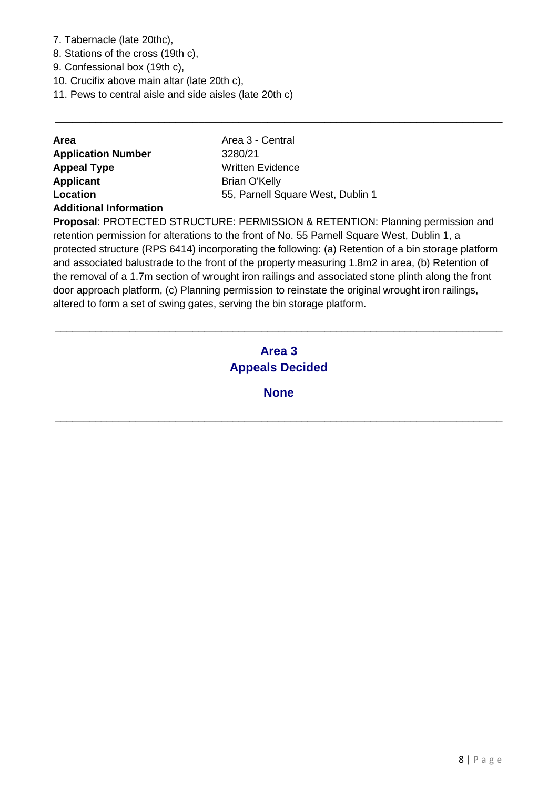- 7. Tabernacle (late 20thc),
- 8. Stations of the cross (19th c),
- 9. Confessional box (19th c),
- 10. Crucifix above main altar (late 20th c),
- 11. Pews to central aisle and side aisles (late 20th c)

| <b>Area</b>               | Area 3 - Central                  |
|---------------------------|-----------------------------------|
| <b>Application Number</b> | 3280/21                           |
| <b>Appeal Type</b>        | Written Evidence                  |
| <b>Applicant</b>          | <b>Brian O'Kelly</b>              |
| Location                  | 55, Parnell Square West, Dublin 1 |
|                           |                                   |

#### **Additional Information**

**Proposal**: PROTECTED STRUCTURE: PERMISSION & RETENTION: Planning permission and retention permission for alterations to the front of No. 55 Parnell Square West, Dublin 1, a protected structure (RPS 6414) incorporating the following: (a) Retention of a bin storage platform and associated balustrade to the front of the property measuring 1.8m2 in area, (b) Retention of the removal of a 1.7m section of wrought iron railings and associated stone plinth along the front door approach platform, (c) Planning permission to reinstate the original wrought iron railings, altered to form a set of swing gates, serving the bin storage platform.

\_\_\_\_\_\_\_\_\_\_\_\_\_\_\_\_\_\_\_\_\_\_\_\_\_\_\_\_\_\_\_\_\_\_\_\_\_\_\_\_\_\_\_\_\_\_\_\_\_\_\_\_\_\_\_\_\_\_\_\_\_\_\_\_\_\_\_\_\_\_\_\_\_\_\_\_\_\_

### **Area 3 Appeals Decided**

\_\_\_\_\_\_\_\_\_\_\_\_\_\_\_\_\_\_\_\_\_\_\_\_\_\_\_\_\_\_\_\_\_\_\_\_\_\_\_\_\_\_\_\_\_\_\_\_\_\_\_\_\_\_\_\_\_\_\_\_\_\_\_\_\_\_\_\_\_\_\_\_\_\_\_\_\_\_

**None**

\_\_\_\_\_\_\_\_\_\_\_\_\_\_\_\_\_\_\_\_\_\_\_\_\_\_\_\_\_\_\_\_\_\_\_\_\_\_\_\_\_\_\_\_\_\_\_\_\_\_\_\_\_\_\_\_\_\_\_\_\_\_\_\_\_\_\_\_\_\_\_\_\_\_\_\_\_\_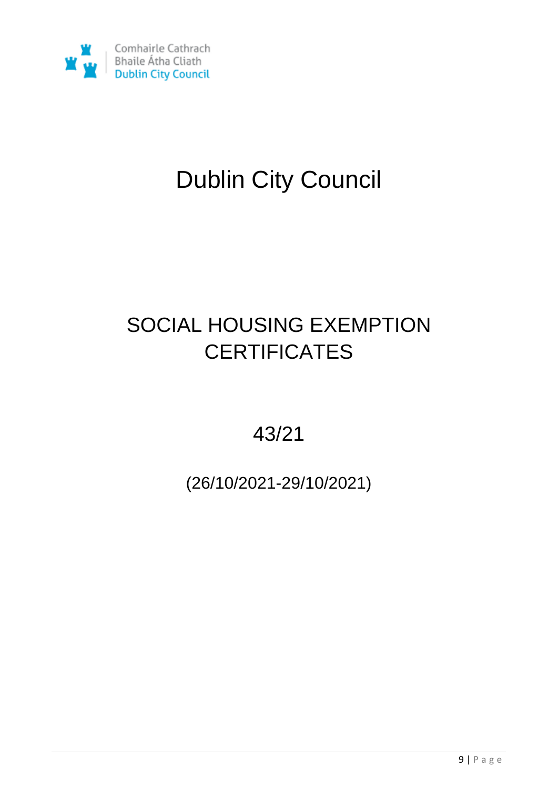

# Dublin City Council

# SOCIAL HOUSING EXEMPTION **CERTIFICATES**

43/21

(26/10/2021-29/10/2021)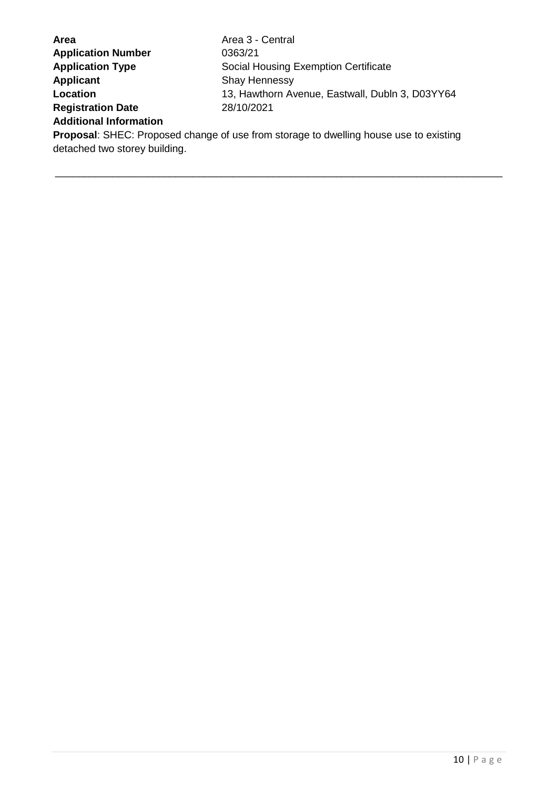| <b>Area</b>                   | Area 3 - Central                                                                             |
|-------------------------------|----------------------------------------------------------------------------------------------|
| <b>Application Number</b>     | 0363/21                                                                                      |
| <b>Application Type</b>       | Social Housing Exemption Certificate                                                         |
| <b>Applicant</b>              | <b>Shay Hennessy</b>                                                                         |
| Location                      | 13, Hawthorn Avenue, Eastwall, Dubln 3, D03YY64                                              |
| <b>Registration Date</b>      | 28/10/2021                                                                                   |
| <b>Additional Information</b> |                                                                                              |
|                               | <b>Proposal:</b> SHEC: Proposed change of use from storage to dwelling house use to existing |

\_\_\_\_\_\_\_\_\_\_\_\_\_\_\_\_\_\_\_\_\_\_\_\_\_\_\_\_\_\_\_\_\_\_\_\_\_\_\_\_\_\_\_\_\_\_\_\_\_\_\_\_\_\_\_\_\_\_\_\_\_\_\_\_\_\_\_\_\_\_\_\_\_\_\_\_\_\_

detached two storey building.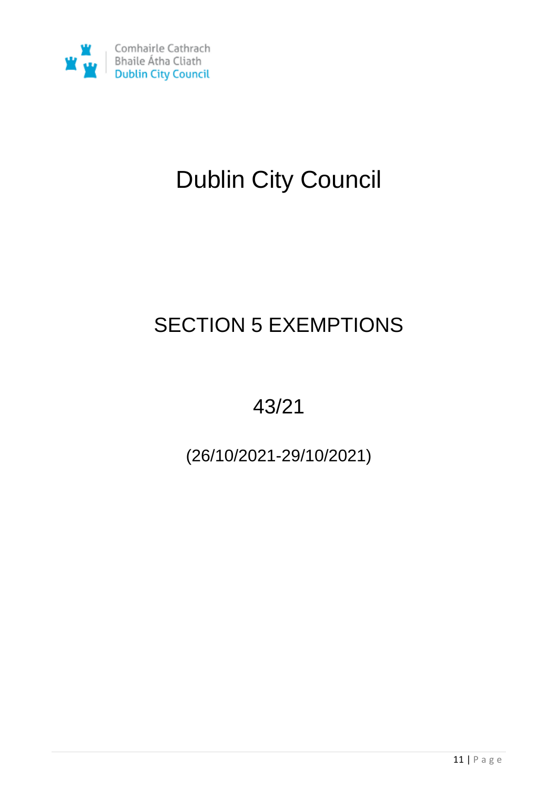

# Dublin City Council

# SECTION 5 EXEMPTIONS

43/21

(26/10/2021-29/10/2021)